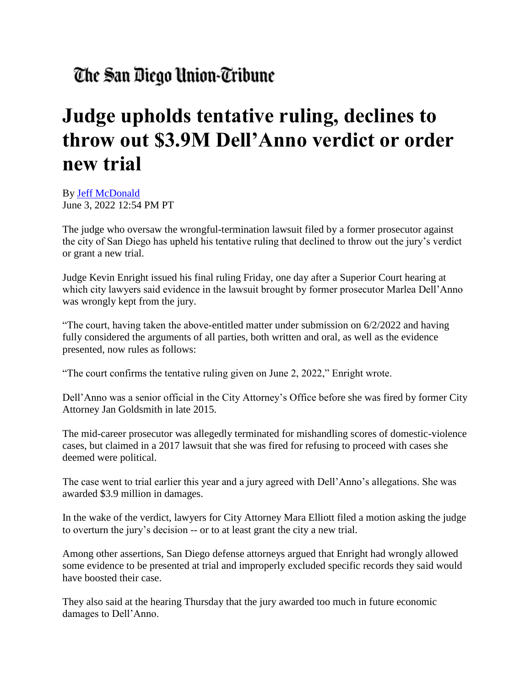## The San Diego Union-Tribune

## **Judge upholds tentative ruling, declines to throw out \$3.9M Dell'Anno verdict or order new trial**

By [Jeff McDonald](https://www.sandiegouniontribune.com/sdut-jeff-mcdonald-staff.html) June 3, 2022 12:54 PM PT

The judge who oversaw the wrongful-termination lawsuit filed by a former prosecutor against the city of San Diego has upheld his tentative ruling that declined to throw out the jury's verdict or grant a new trial.

Judge Kevin Enright issued his final ruling Friday, one day after a Superior Court hearing at which city lawyers said evidence in the lawsuit brought by former prosecutor Marlea Dell'Anno was wrongly kept from the jury.

"The court, having taken the above-entitled matter under submission on  $6/2/2022$  and having fully considered the arguments of all parties, both written and oral, as well as the evidence presented, now rules as follows:

"The court confirms the tentative ruling given on June 2, 2022," Enright wrote.

Dell'Anno was a senior official in the City Attorney's Office before she was fired by former City Attorney Jan Goldsmith in late 2015.

The mid-career prosecutor was allegedly terminated for mishandling scores of domestic-violence cases, but claimed in a 2017 lawsuit that she was fired for refusing to proceed with cases she deemed were political.

The case went to trial earlier this year and a jury agreed with Dell'Anno's allegations. She was awarded \$3.9 million in damages.

In the wake of the verdict, lawyers for City Attorney Mara Elliott filed a motion asking the judge to overturn the jury's decision -- or to at least grant the city a new trial.

Among other assertions, San Diego defense attorneys argued that Enright had wrongly allowed some evidence to be presented at trial and improperly excluded specific records they said would have boosted their case.

They also said at the hearing Thursday that the jury awarded too much in future economic damages to Dell'Anno.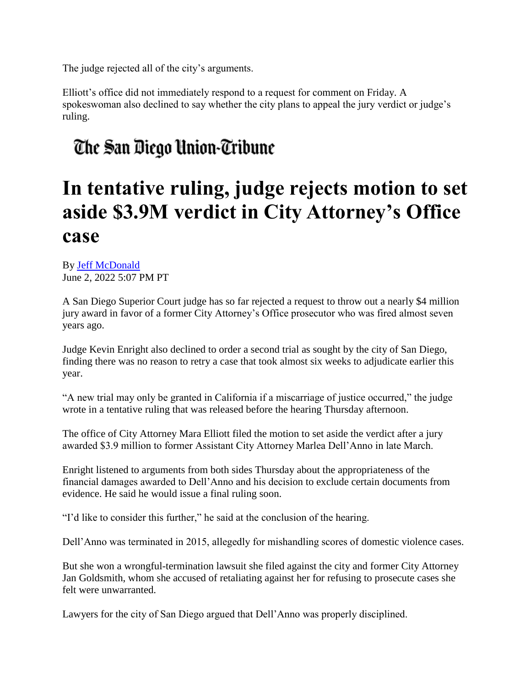The judge rejected all of the city's arguments.

Elliott's office did not immediately respond to a request for comment on Friday. A spokeswoman also declined to say whether the city plans to appeal the jury verdict or judge's ruling.

## The San Diego Union-Tribune

## **In tentative ruling, judge rejects motion to set aside \$3.9M verdict in City Attorney's Office case**

By [Jeff McDonald](https://www.sandiegouniontribune.com/sdut-jeff-mcdonald-staff.html) June 2, 2022 5:07 PM PT

A San Diego Superior Court judge has so far rejected a request to throw out a nearly \$4 million jury award in favor of a former City Attorney's Office prosecutor who was fired almost seven years ago.

Judge Kevin Enright also declined to order a second trial as sought by the city of San Diego, finding there was no reason to retry a case that took almost six weeks to adjudicate earlier this year.

"A new trial may only be granted in California if a miscarriage of justice occurred," the judge wrote in a tentative ruling that was released before the hearing Thursday afternoon.

The office of City Attorney Mara Elliott filed the motion to set aside the verdict after a jury awarded \$3.9 million to former Assistant City Attorney Marlea Dell'Anno in late March.

Enright listened to arguments from both sides Thursday about the appropriateness of the financial damages awarded to Dell'Anno and his decision to exclude certain documents from evidence. He said he would issue a final ruling soon.

"I'd like to consider this further," he said at the conclusion of the hearing.

Dell'Anno was terminated in 2015, allegedly for mishandling scores of domestic violence cases.

But she won a wrongful-termination lawsuit she filed against the city and former City Attorney Jan Goldsmith, whom she accused of retaliating against her for refusing to prosecute cases she felt were unwarranted.

Lawyers for the city of San Diego argued that Dell'Anno was properly disciplined.